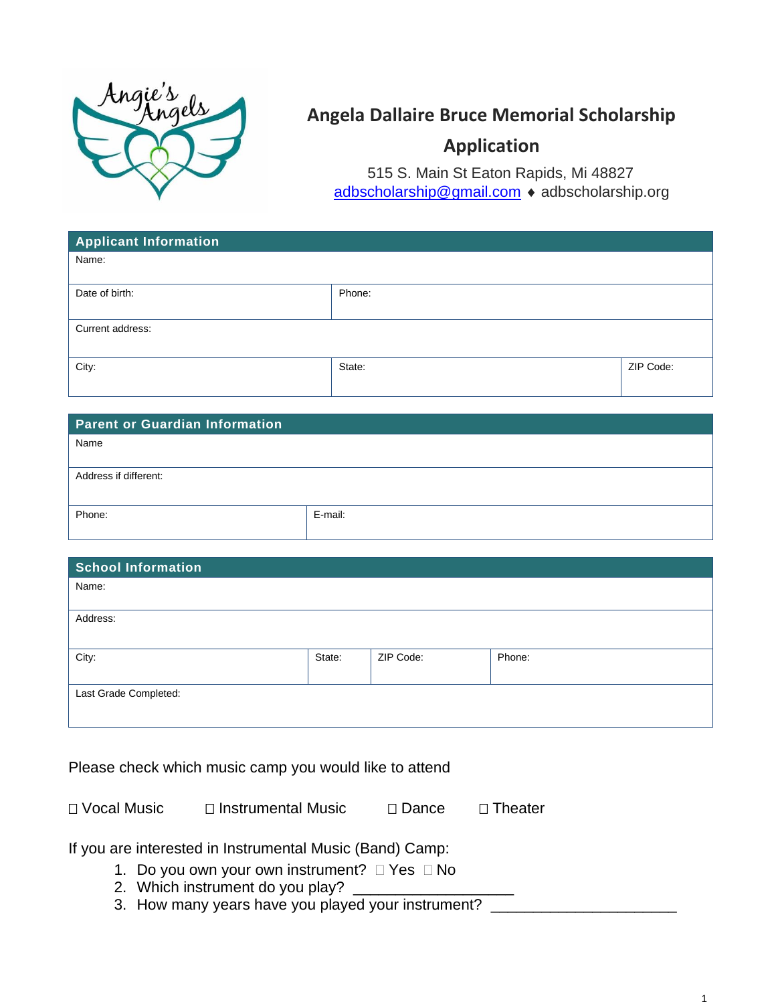

## **Angela Dallaire Bruce Memorial Scholarship**

## **Application**

515 S. Main St Eaton Rapids, Mi 48827 [adbscholarship@gmail.com](mailto:adbscholarship@gmail.com) • adbscholarship.org

| <b>Applicant Information</b> |        |           |  |
|------------------------------|--------|-----------|--|
| Name:                        |        |           |  |
|                              |        |           |  |
| Date of birth:               | Phone: |           |  |
|                              |        |           |  |
| Current address:             |        |           |  |
|                              |        |           |  |
| City:                        | State: | ZIP Code: |  |
|                              |        |           |  |

| <b>Parent or Guardian Information</b> |         |  |  |
|---------------------------------------|---------|--|--|
| Name                                  |         |  |  |
|                                       |         |  |  |
| Address if different:                 |         |  |  |
|                                       |         |  |  |
| Phone:                                | E-mail: |  |  |
|                                       |         |  |  |

| <b>School Information</b> |        |           |        |  |
|---------------------------|--------|-----------|--------|--|
| Name:                     |        |           |        |  |
|                           |        |           |        |  |
| Address:                  |        |           |        |  |
|                           |        |           |        |  |
| City:                     | State: | ZIP Code: | Phone: |  |
|                           |        |           |        |  |
| Last Grade Completed:     |        |           |        |  |
|                           |        |           |        |  |
|                           |        |           |        |  |

Please check which music camp you would like to attend

| □ Vocal Music | $\Box$ Instrumental Music | $\Box$ Dance | $\Box$ Theater |
|---------------|---------------------------|--------------|----------------|
|               |                           |              |                |

If you are interested in Instrumental Music (Band) Camp:

- 1. Do you own your own instrument?  $\Box$  Yes  $\Box$  No
- 2. Which instrument do you play?
- 3. How many years have you played your instrument? \_\_\_\_\_\_\_\_\_\_\_\_\_\_\_\_\_\_\_\_\_\_